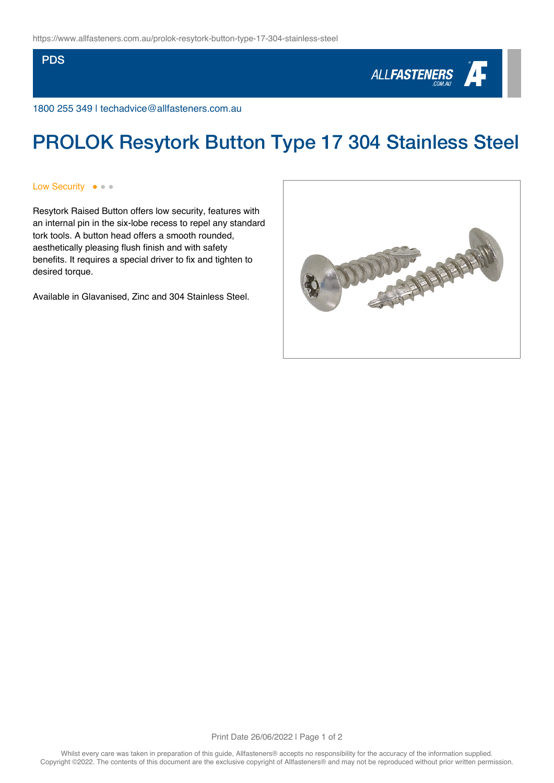**PDS** 



1800 255 349 | techadvice@allfasteners.com.au

## PROLOK Resytork Button Type 17 304 Stainless Steel

Low Security  $\bullet \bullet \bullet$ 

Resytork Raised Button offers low security, features with an internal pin in the six-lobe recess to repel any standard tork tools. A button head offers a smooth rounded, aesthetically pleasing flush finish and with safety benefits. It requires a special driver to fix and tighten to desired torque.

Available in Glavanised, Zinc and 304 Stainless Steel.